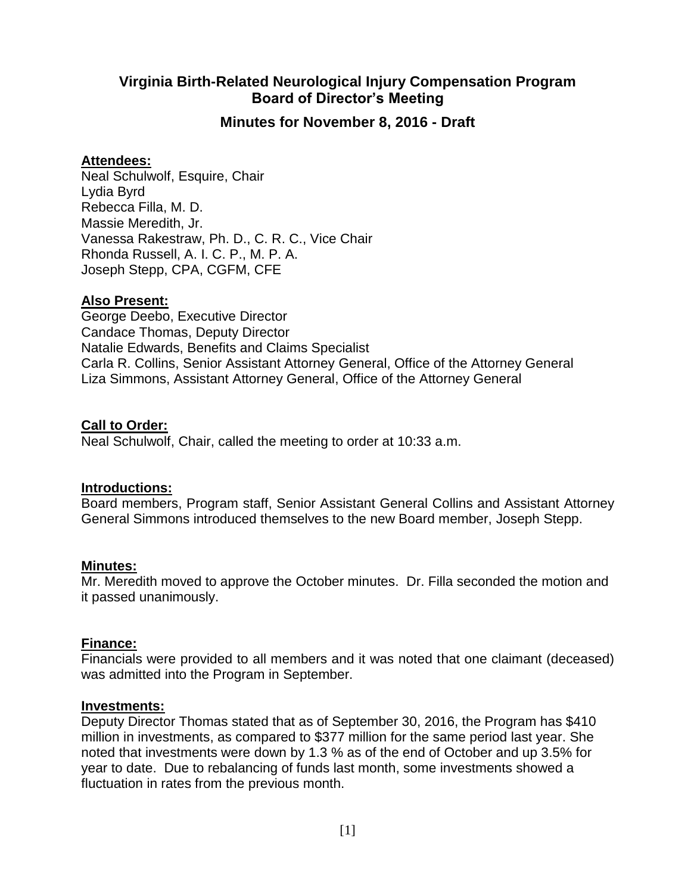# **Virginia Birth-Related Neurological Injury Compensation Program Board of Director's Meeting**

## **Minutes for November 8, 2016 - Draft**

## **Attendees:**

Neal Schulwolf, Esquire, Chair Lydia Byrd Rebecca Filla, M. D. Massie Meredith, Jr. Vanessa Rakestraw, Ph. D., C. R. C., Vice Chair Rhonda Russell, A. I. C. P., M. P. A. Joseph Stepp, CPA, CGFM, CFE

## **Also Present:**

George Deebo, Executive Director Candace Thomas, Deputy Director Natalie Edwards, Benefits and Claims Specialist Carla R. Collins, Senior Assistant Attorney General, Office of the Attorney General Liza Simmons, Assistant Attorney General, Office of the Attorney General

## **Call to Order:**

Neal Schulwolf, Chair, called the meeting to order at 10:33 a.m.

#### **Introductions:**

Board members, Program staff, Senior Assistant General Collins and Assistant Attorney General Simmons introduced themselves to the new Board member, Joseph Stepp.

#### **Minutes:**

Mr. Meredith moved to approve the October minutes. Dr. Filla seconded the motion and it passed unanimously.

#### **Finance:**

Financials were provided to all members and it was noted that one claimant (deceased) was admitted into the Program in September.

#### **Investments:**

Deputy Director Thomas stated that as of September 30, 2016, the Program has \$410 million in investments, as compared to \$377 million for the same period last year. She noted that investments were down by 1.3 % as of the end of October and up 3.5% for year to date. Due to rebalancing of funds last month, some investments showed a fluctuation in rates from the previous month.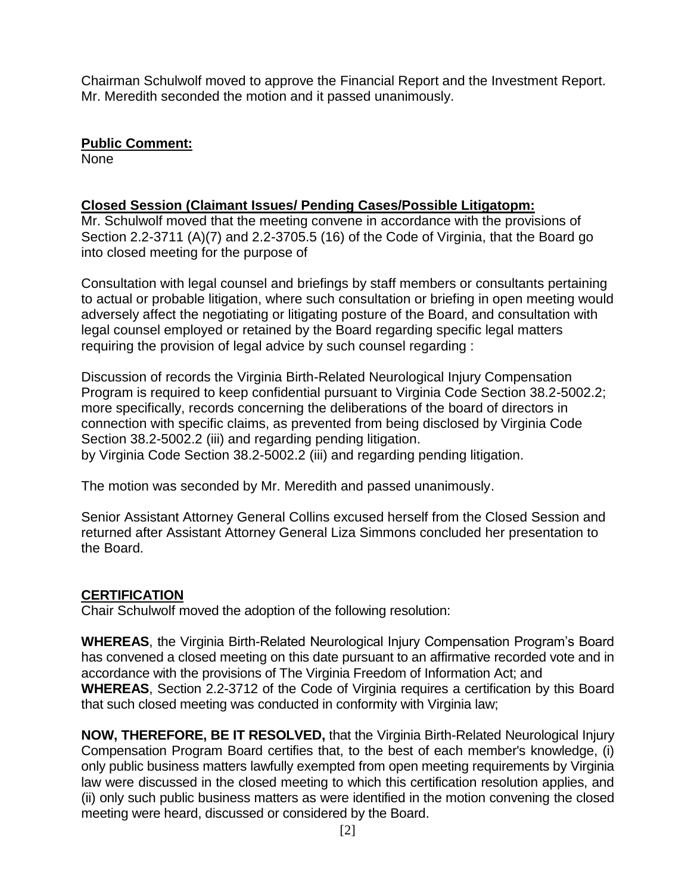Chairman Schulwolf moved to approve the Financial Report and the Investment Report. Mr. Meredith seconded the motion and it passed unanimously.

## **Public Comment:**

None

# **Closed Session (Claimant Issues/ Pending Cases/Possible Litigatopm:**

Mr. Schulwolf moved that the meeting convene in accordance with the provisions of Section 2.2-3711 (A)(7) and 2.2-3705.5 (16) of the Code of Virginia, that the Board go into closed meeting for the purpose of

Consultation with legal counsel and briefings by staff members or consultants pertaining to actual or probable litigation, where such consultation or briefing in open meeting would adversely affect the negotiating or litigating posture of the Board, and consultation with legal counsel employed or retained by the Board regarding specific legal matters requiring the provision of legal advice by such counsel regarding :

Discussion of records the Virginia Birth-Related Neurological Injury Compensation Program is required to keep confidential pursuant to Virginia Code Section 38.2-5002.2; more specifically, records concerning the deliberations of the board of directors in connection with specific claims, as prevented from being disclosed by Virginia Code Section 38.2-5002.2 (iii) and regarding pending litigation. by Virginia Code Section 38.2-5002.2 (iii) and regarding pending litigation.

The motion was seconded by Mr. Meredith and passed unanimously.

Senior Assistant Attorney General Collins excused herself from the Closed Session and returned after Assistant Attorney General Liza Simmons concluded her presentation to the Board.

# **CERTIFICATION**

Chair Schulwolf moved the adoption of the following resolution:

**WHEREAS**, the Virginia Birth-Related Neurological Injury Compensation Program's Board has convened a closed meeting on this date pursuant to an affirmative recorded vote and in accordance with the provisions of The Virginia Freedom of Information Act; and **WHEREAS**, Section 2.2-3712 of the Code of Virginia requires a certification by this Board that such closed meeting was conducted in conformity with Virginia law;

**NOW, THEREFORE, BE IT RESOLVED,** that the Virginia Birth-Related Neurological Injury Compensation Program Board certifies that, to the best of each member's knowledge, (i) only public business matters lawfully exempted from open meeting requirements by Virginia law were discussed in the closed meeting to which this certification resolution applies, and (ii) only such public business matters as were identified in the motion convening the closed meeting were heard, discussed or considered by the Board.